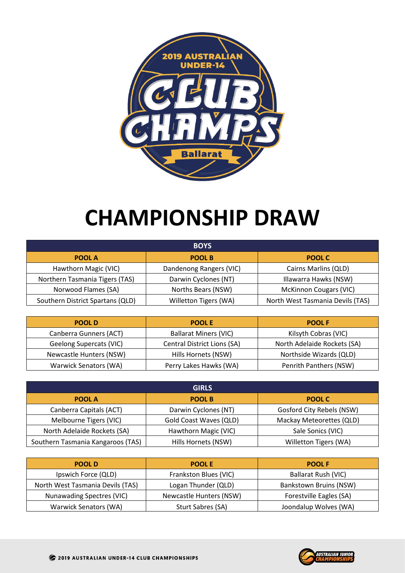

## **CHAMPIONSHIP DRAW**

| <b>BOYS</b>                      |                         |                                  |  |  |  |  |  |  |  |
|----------------------------------|-------------------------|----------------------------------|--|--|--|--|--|--|--|
| POOL A                           | <b>POOL B</b>           | POOL C                           |  |  |  |  |  |  |  |
| Hawthorn Magic (VIC)             | Dandenong Rangers (VIC) | Cairns Marlins (QLD)             |  |  |  |  |  |  |  |
| Northern Tasmania Tigers (TAS)   | Darwin Cyclones (NT)    | Illawarra Hawks (NSW)            |  |  |  |  |  |  |  |
| Norwood Flames (SA)              | Norths Bears (NSW)      | <b>McKinnon Cougars (VIC)</b>    |  |  |  |  |  |  |  |
| Southern District Spartans (QLD) | Willetton Tigers (WA)   | North West Tasmania Devils (TAS) |  |  |  |  |  |  |  |

| <b>POOL D</b>           | <b>POOLE</b>                 | <b>POOL F</b>               |
|-------------------------|------------------------------|-----------------------------|
| Canberra Gunners (ACT)  | <b>Ballarat Miners (VIC)</b> | Kilsyth Cobras (VIC)        |
| Geelong Supercats (VIC) | Central District Lions (SA)  | North Adelaide Rockets (SA) |
| Newcastle Hunters (NSW) | Hills Hornets (NSW)          | Northside Wizards (QLD)     |
| Warwick Senators (WA)   | Perry Lakes Hawks (WA)       | Penrith Panthers (NSW)      |

|                                   | <b>GIRLS</b>                  |                           |
|-----------------------------------|-------------------------------|---------------------------|
| <b>POOL A</b>                     | <b>POOL B</b>                 | <b>POOL C</b>             |
| Canberra Capitals (ACT)           | Darwin Cyclones (NT)          | Gosford City Rebels (NSW) |
| Melbourne Tigers (VIC)            | <b>Gold Coast Waves (QLD)</b> | Mackay Meteorettes (QLD)  |
| North Adelaide Rockets (SA)       | Hawthorn Magic (VIC)          | Sale Sonics (VIC)         |
| Southern Tasmania Kangaroos (TAS) | Hills Hornets (NSW)           | Willetton Tigers (WA)     |

| <b>POOLD</b>                     | <b>POOLE</b>            | <b>POOL F</b>                 |
|----------------------------------|-------------------------|-------------------------------|
| Ipswich Force (QLD)              | Frankston Blues (VIC)   | Ballarat Rush (VIC)           |
| North West Tasmania Devils (TAS) | Logan Thunder (QLD)     | <b>Bankstown Bruins (NSW)</b> |
| Nunawading Spectres (VIC)        | Newcastle Hunters (NSW) | Forestville Eagles (SA)       |
| Warwick Senators (WA)            | Sturt Sabres (SA)       | Joondalup Wolves (WA)         |

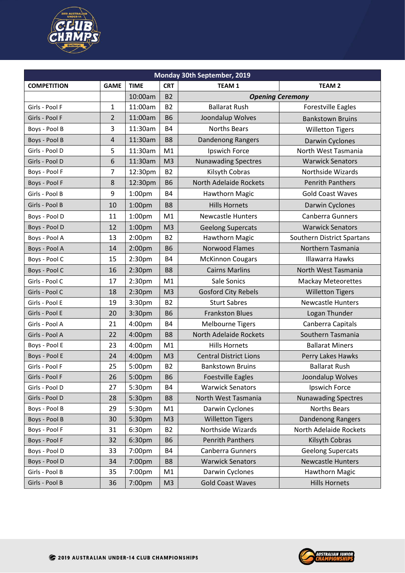

| Monday 30th September, 2019 |                |                    |                |                               |                            |  |  |  |  |
|-----------------------------|----------------|--------------------|----------------|-------------------------------|----------------------------|--|--|--|--|
| <b>COMPETITION</b>          | <b>GAME</b>    | <b>TIME</b>        | <b>CRT</b>     | TEAM <sub>1</sub>             | <b>TEAM 2</b>              |  |  |  |  |
|                             |                | 10:00am            | <b>B2</b>      |                               | <b>Opening Ceremony</b>    |  |  |  |  |
| Girls - Pool F              | $\mathbf{1}$   | 11:00am            | <b>B2</b>      | <b>Ballarat Rush</b>          | <b>Forestville Eagles</b>  |  |  |  |  |
| Girls - Pool F              | $\overline{2}$ | 11:00am            | <b>B6</b>      | Joondalup Wolves              | <b>Bankstown Bruins</b>    |  |  |  |  |
| Boys - Pool B               | 3              | 11:30am            | <b>B4</b>      | <b>Norths Bears</b>           | <b>Willetton Tigers</b>    |  |  |  |  |
| Boys - Pool B               | 4              | 11:30am            | <b>B8</b>      | <b>Dandenong Rangers</b>      | Darwin Cyclones            |  |  |  |  |
| Girls - Pool D              | 5              | 11:30am            | M1             | Ipswich Force                 | North West Tasmania        |  |  |  |  |
| Girls - Pool D              | 6              | 11:30am            | M <sub>3</sub> | <b>Nunawading Spectres</b>    | <b>Warwick Senators</b>    |  |  |  |  |
| Boys - Pool F               | $\overline{7}$ | 12:30pm            | <b>B2</b>      | Kilsyth Cobras                | Northside Wizards          |  |  |  |  |
| Boys - Pool F               | 8              | 12:30pm            | <b>B6</b>      | North Adelaide Rockets        | <b>Penrith Panthers</b>    |  |  |  |  |
| Girls - Pool B              | 9              | 1:00 <sub>pm</sub> | <b>B4</b>      | Hawthorn Magic                | <b>Gold Coast Waves</b>    |  |  |  |  |
| Girls - Pool B              | 10             | 1:00pm             | B <sub>8</sub> | <b>Hills Hornets</b>          | Darwin Cyclones            |  |  |  |  |
| Boys - Pool D               | 11             | 1:00pm             | M1             | <b>Newcastle Hunters</b>      | <b>Canberra Gunners</b>    |  |  |  |  |
| Boys - Pool D               | 12             | 1:00 <sub>pm</sub> | M <sub>3</sub> | <b>Geelong Supercats</b>      | <b>Warwick Senators</b>    |  |  |  |  |
| Boys - Pool A               | 13             | 2:00pm             | <b>B2</b>      | Hawthorn Magic                | Southern District Spartans |  |  |  |  |
| Boys - Pool A               | 14             | 2:00pm             | <b>B6</b>      | <b>Norwood Flames</b>         | Northern Tasmania          |  |  |  |  |
| Boys - Pool C               | 15             | 2:30 <sub>pm</sub> | <b>B4</b>      | <b>McKinnon Cougars</b>       | <b>Illawarra Hawks</b>     |  |  |  |  |
| Boys - Pool C               | 16             | 2:30pm             | B <sub>8</sub> | <b>Cairns Marlins</b>         | North West Tasmania        |  |  |  |  |
| Girls - Pool C              | 17             | 2:30pm             | M1             | Sale Sonics                   | <b>Mackay Meteorettes</b>  |  |  |  |  |
| Girls - Pool C              | 18             | 2:30pm             | M <sub>3</sub> | <b>Gosford City Rebels</b>    | <b>Willetton Tigers</b>    |  |  |  |  |
| Girls - Pool E              | 19             | 3:30pm             | <b>B2</b>      | <b>Sturt Sabres</b>           | <b>Newcastle Hunters</b>   |  |  |  |  |
| Girls - Pool E              | 20             | 3:30pm             | <b>B6</b>      | <b>Frankston Blues</b>        | Logan Thunder              |  |  |  |  |
| Girls - Pool A              | 21             | 4:00pm             | <b>B4</b>      | <b>Melbourne Tigers</b>       | Canberra Capitals          |  |  |  |  |
| Girls - Pool A              | 22             | 4:00pm             | B <sub>8</sub> | North Adelaide Rockets        | Southern Tasmania          |  |  |  |  |
| Boys - Pool E               | 23             | 4:00pm             | M1             | <b>Hills Hornets</b>          | <b>Ballarat Miners</b>     |  |  |  |  |
| Boys - Pool E               | 24             | 4:00pm             | M <sub>3</sub> | <b>Central District Lions</b> | Perry Lakes Hawks          |  |  |  |  |
| Girls - Pool F              | 25             | 5:00pm             | <b>B2</b>      | <b>Bankstown Bruins</b>       | <b>Ballarat Rush</b>       |  |  |  |  |
| Girls - Pool F              | 26             | 5:00pm             | В6             | <b>Foestville Eagles</b>      | Joondalup Wolves           |  |  |  |  |
| Girls - Pool D              | 27             | 5:30pm             | <b>B4</b>      | <b>Warwick Senators</b>       | Ipswich Force              |  |  |  |  |
| Girls - Pool D              | 28             | 5:30pm             | B <sub>8</sub> | North West Tasmania           | <b>Nunawading Spectres</b> |  |  |  |  |
| Boys - Pool B               | 29             | 5:30pm             | M1             | Darwin Cyclones               | <b>Norths Bears</b>        |  |  |  |  |
| Boys - Pool B               | 30             | 5:30pm             | M <sub>3</sub> | <b>Willetton Tigers</b>       | Dandenong Rangers          |  |  |  |  |
| Boys - Pool F               | 31             | 6:30pm             | <b>B2</b>      | Northside Wizards             | North Adelaide Rockets     |  |  |  |  |
| Boys - Pool F               | 32             | 6:30pm             | <b>B6</b>      | <b>Penrith Panthers</b>       | Kilsyth Cobras             |  |  |  |  |
| Boys - Pool D               | 33             | 7:00pm             | <b>B4</b>      | Canberra Gunners              | <b>Geelong Supercats</b>   |  |  |  |  |
| Boys - Pool D               | 34             | 7:00pm             | B <sub>8</sub> | <b>Warwick Senators</b>       | Newcastle Hunters          |  |  |  |  |
| Girls - Pool B              | 35             | 7:00pm             | M1             | Darwin Cyclones               | <b>Hawthorn Magic</b>      |  |  |  |  |
| Girls - Pool B              | 36             | 7:00pm             | M3             | <b>Gold Coast Waves</b>       | <b>Hills Hornets</b>       |  |  |  |  |

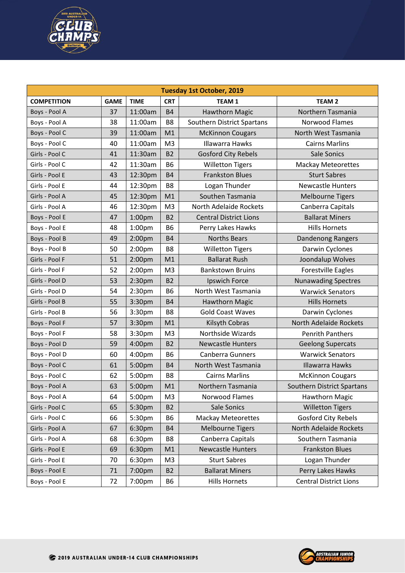

| <b>Tuesday 1st October, 2019</b> |             |                    |                |                               |                                   |  |  |  |  |
|----------------------------------|-------------|--------------------|----------------|-------------------------------|-----------------------------------|--|--|--|--|
| <b>COMPETITION</b>               | <b>GAME</b> | <b>TIME</b>        | <b>CRT</b>     | <b>TEAM1</b>                  | <b>TEAM 2</b>                     |  |  |  |  |
| Boys - Pool A                    | 37          | 11:00am            | <b>B4</b>      | <b>Hawthorn Magic</b>         | Northern Tasmania                 |  |  |  |  |
| Boys - Pool A                    | 38          | 11:00am            | B <sub>8</sub> | Southern District Spartans    | Norwood Flames                    |  |  |  |  |
| Boys - Pool C                    | 39          | 11:00am            | M1             | <b>McKinnon Cougars</b>       | North West Tasmania               |  |  |  |  |
| Boys - Pool C                    | 40          | 11:00am            | M <sub>3</sub> | <b>Illawarra Hawks</b>        | <b>Cairns Marlins</b>             |  |  |  |  |
| Girls - Pool C                   | 41          | 11:30am            | <b>B2</b>      | <b>Gosford City Rebels</b>    | <b>Sale Sonics</b>                |  |  |  |  |
| Girls - Pool C                   | 42          | 11:30am            | <b>B6</b>      | <b>Willetton Tigers</b>       | <b>Mackay Meteorettes</b>         |  |  |  |  |
| Girls - Pool E                   | 43          | 12:30pm            | <b>B4</b>      | <b>Frankston Blues</b>        | <b>Sturt Sabres</b>               |  |  |  |  |
| Girls - Pool E                   | 44          | 12:30pm            | B <sub>8</sub> | Logan Thunder                 | <b>Newcastle Hunters</b>          |  |  |  |  |
| Girls - Pool A                   | 45          | 12:30pm            | M1             | Southen Tasmania              | <b>Melbourne Tigers</b>           |  |  |  |  |
| Girls - Pool A                   | 46          | 12:30pm            | M <sub>3</sub> | North Adelaide Rockets        | Canberra Capitals                 |  |  |  |  |
| Boys - Pool E                    | 47          | 1:00 <sub>pm</sub> | <b>B2</b>      | <b>Central District Lions</b> | <b>Ballarat Miners</b>            |  |  |  |  |
| Boys - Pool E                    | 48          | 1:00pm             | <b>B6</b>      | Perry Lakes Hawks             | <b>Hills Hornets</b>              |  |  |  |  |
| Boys - Pool B                    | 49          | 2:00pm             | <b>B4</b>      | <b>Norths Bears</b>           | Dandenong Rangers                 |  |  |  |  |
| Boys - Pool B                    | 50          | 2:00 <sub>pm</sub> | B <sub>8</sub> | <b>Willetton Tigers</b>       | Darwin Cyclones                   |  |  |  |  |
| Girls - Pool F                   | 51          | 2:00pm             | M1             | <b>Ballarat Rush</b>          | Joondalup Wolves                  |  |  |  |  |
| Girls - Pool F                   | 52          | 2:00pm             | M <sub>3</sub> | <b>Bankstown Bruins</b>       | <b>Forestville Eagles</b>         |  |  |  |  |
| Girls - Pool D                   | 53          | 2:30pm             | <b>B2</b>      | Ipswich Force                 | <b>Nunawading Spectres</b>        |  |  |  |  |
| Girls - Pool D                   | 54          | 2:30pm             | <b>B6</b>      | North West Tasmania           | <b>Warwick Senators</b>           |  |  |  |  |
| Girls - Pool B                   | 55          | 3:30pm             | <b>B4</b>      | Hawthorn Magic                | <b>Hills Hornets</b>              |  |  |  |  |
| Girls - Pool B                   | 56          | 3:30pm             | B <sub>8</sub> | <b>Gold Coast Waves</b>       | Darwin Cyclones                   |  |  |  |  |
| Boys - Pool F                    | 57          | 3:30pm             | M1             | Kilsyth Cobras                | North Adelaide Rockets            |  |  |  |  |
| Boys - Pool F                    | 58          | 3:30pm             | M <sub>3</sub> | Northside Wizards             | <b>Penrith Panthers</b>           |  |  |  |  |
| Boys - Pool D                    | 59          | 4:00pm             | <b>B2</b>      | <b>Newcastle Hunters</b>      | <b>Geelong Supercats</b>          |  |  |  |  |
| Boys - Pool D                    | 60          | 4:00pm             | <b>B6</b>      | Canberra Gunners              | <b>Warwick Senators</b>           |  |  |  |  |
| Boys - Pool C                    | 61          | 5:00pm             | <b>B4</b>      | North West Tasmania           | <b>Illawarra Hawks</b>            |  |  |  |  |
| Boys - Pool C                    | 62          | 5:00pm             | B <sub>8</sub> | <b>Cairns Marlins</b>         | <b>McKinnon Cougars</b>           |  |  |  |  |
| Boys - Pool A                    | 63          | 5:00pm             | M1             | Northern Tasmania             | <b>Southern District Spartans</b> |  |  |  |  |
| Boys - Pool A                    | 64          | 5:00pm             | M3             | Norwood Flames                | <b>Hawthorn Magic</b>             |  |  |  |  |
| Girls - Pool C                   | 65          | 5:30pm             | <b>B2</b>      | Sale Sonics                   | <b>Willetton Tigers</b>           |  |  |  |  |
| Girls - Pool C                   | 66          | 5:30pm             | <b>B6</b>      | <b>Mackay Meteorettes</b>     | <b>Gosford City Rebels</b>        |  |  |  |  |
| Girls - Pool A                   | 67          | 6:30pm             | <b>B4</b>      | <b>Melbourne Tigers</b>       | North Adelaide Rockets            |  |  |  |  |
| Girls - Pool A                   | 68          | 6:30pm             | B <sub>8</sub> | Canberra Capitals             | Southern Tasmania                 |  |  |  |  |
| Girls - Pool E                   | 69          | 6:30pm             | M1             | <b>Newcastle Hunters</b>      | <b>Frankston Blues</b>            |  |  |  |  |
| Girls - Pool E                   | 70          | 6:30pm             | M <sub>3</sub> | <b>Sturt Sabres</b>           | Logan Thunder                     |  |  |  |  |
| Boys - Pool E                    | 71          | 7:00pm             | <b>B2</b>      | <b>Ballarat Miners</b>        | Perry Lakes Hawks                 |  |  |  |  |
| Boys - Pool E                    | 72          | 7:00pm             | <b>B6</b>      | <b>Hills Hornets</b>          | <b>Central District Lions</b>     |  |  |  |  |

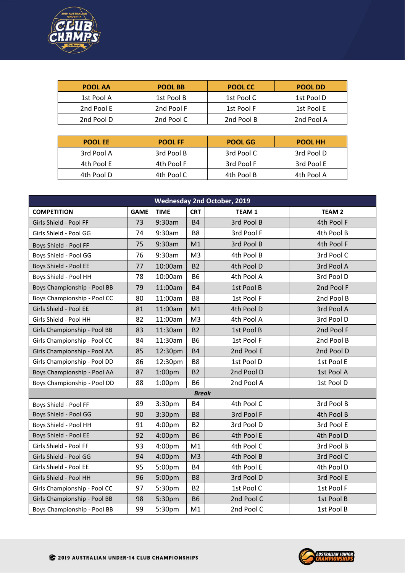

| <b>POOL AA</b> | <b>POOL BB</b> | <b>POOL CC</b> | POOL DD    |
|----------------|----------------|----------------|------------|
| 1st Pool A     | 1st Pool B     | 1st Pool C     | 1st Pool D |
| 2nd Pool E     | 2nd Pool F     | 1st Pool F     | 1st Pool E |
| 2nd Pool D     | 2nd Pool C     | 2nd Pool B     | 2nd Pool A |

| <b>POOL EE</b> | <b>POOL FF</b> | <b>POOL GG</b> | <b>POOL HH</b> |
|----------------|----------------|----------------|----------------|
| 3rd Pool A     | 3rd Pool B     | 3rd Pool C     | 3rd Pool D     |
| 4th Pool E     | 4th Pool F     | 3rd Pool F     | 3rd Pool E     |
| 4th Pool D     | 4th Pool C     | 4th Pool B     | 4th Pool A     |

| <b>Wednesday 2nd October, 2019</b> |             |                    |                |              |               |  |  |  |  |
|------------------------------------|-------------|--------------------|----------------|--------------|---------------|--|--|--|--|
| <b>COMPETITION</b>                 | <b>GAME</b> | <b>TIME</b>        | <b>CRT</b>     | <b>TEAM1</b> | <b>TEAM 2</b> |  |  |  |  |
| Girls Shield - Pool FF             | 73          | 9:30am             | <b>B4</b>      | 3rd Pool B   | 4th Pool F    |  |  |  |  |
| Girls Shield - Pool GG             | 74          | 9:30am             | B <sub>8</sub> | 3rd Pool F   | 4th Pool B    |  |  |  |  |
| Boys Shield - Pool FF              | 75          | 9:30am             | M1             | 3rd Pool B   | 4th Pool F    |  |  |  |  |
| Boys Shield - Pool GG              | 76          | 9:30am             | M <sub>3</sub> | 4th Pool B   | 3rd Pool C    |  |  |  |  |
| Boys Shield - Pool EE              | 77          | 10:00am            | <b>B2</b>      | 4th Pool D   | 3rd Pool A    |  |  |  |  |
| Boys Shield - Pool HH              | 78          | 10:00am            | <b>B6</b>      | 4th Pool A   | 3rd Pool D    |  |  |  |  |
| Boys Championship - Pool BB        | 79          | 11:00am            | <b>B4</b>      | 1st Pool B   | 2nd Pool F    |  |  |  |  |
| Boys Championship - Pool CC        | 80          | 11:00am            | B <sub>8</sub> | 1st Pool F   | 2nd Pool B    |  |  |  |  |
| Girls Shield - Pool EE             | 81          | 11:00am            | M1             | 4th Pool D   | 3rd Pool A    |  |  |  |  |
| Girls Shield - Pool HH             | 82          | 11:00am            | M <sub>3</sub> | 4th Pool A   | 3rd Pool D    |  |  |  |  |
| Girls Championship - Pool BB       | 83          | 11:30am            | <b>B2</b>      | 1st Pool B   | 2nd Pool F    |  |  |  |  |
| Girls Championship - Pool CC       | 84          | 11:30am            | <b>B6</b>      | 1st Pool F   | 2nd Pool B    |  |  |  |  |
| Girls Championship - Pool AA       | 85          | 12:30pm            | <b>B4</b>      | 2nd Pool E   | 2nd Pool D    |  |  |  |  |
| Girls Championship - Pool DD       | 86          | 12:30pm            | B <sub>8</sub> | 1st Pool D   | 1st Pool E    |  |  |  |  |
| Boys Championship - Pool AA        | 87          | 1:00 <sub>pm</sub> | <b>B2</b>      | 2nd Pool D   | 1st Pool A    |  |  |  |  |
| Boys Championship - Pool DD        | 88          | 1:00 <sub>pm</sub> | <b>B6</b>      | 2nd Pool A   | 1st Pool D    |  |  |  |  |
|                                    |             |                    | <b>Break</b>   |              |               |  |  |  |  |
| Boys Shield - Pool FF              | 89          | 3:30pm             | <b>B4</b>      | 4th Pool C   | 3rd Pool B    |  |  |  |  |
| Boys Shield - Pool GG              | 90          | 3:30pm             | <b>B8</b>      | 3rd Pool F   | 4th Pool B    |  |  |  |  |
| Boys Shield - Pool HH              | 91          | 4:00pm             | <b>B2</b>      | 3rd Pool D   | 3rd Pool E    |  |  |  |  |
| Boys Shield - Pool EE              | 92          | 4:00pm             | <b>B6</b>      | 4th Pool E   | 4th Pool D    |  |  |  |  |
| Girls Shield - Pool FF             | 93          | 4:00 <sub>pm</sub> | M1             | 4th Pool C   | 3rd Pool B    |  |  |  |  |
| Girls Shield - Pool GG             | 94          | 4:00pm             | M <sub>3</sub> | 4th Pool B   | 3rd Pool C    |  |  |  |  |
| Girls Shield - Pool EE             | 95          | 5:00pm             | <b>B4</b>      | 4th Pool E   | 4th Pool D    |  |  |  |  |
| Girls Shield - Pool HH             | 96          | 5:00pm             | <b>B8</b>      | 3rd Pool D   | 3rd Pool E    |  |  |  |  |
| Girls Championship - Pool CC       | 97          | 5:30pm             | <b>B2</b>      | 1st Pool C   | 1st Pool F    |  |  |  |  |
| Girls Championship - Pool BB       | 98          | 5:30pm             | <b>B6</b>      | 2nd Pool C   | 1st Pool B    |  |  |  |  |
| Boys Championship - Pool BB        | 99          | 5:30pm             | M1             | 2nd Pool C   | 1st Pool B    |  |  |  |  |

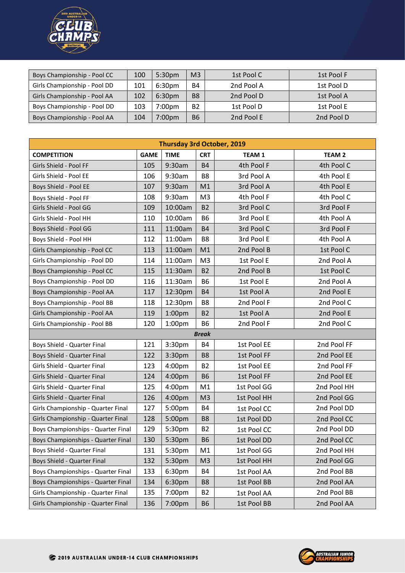

| Boys Championship - Pool CC  | 100 | 5:30 <sub>pm</sub> | M <sub>3</sub> | 1st Pool C | 1st Pool F |
|------------------------------|-----|--------------------|----------------|------------|------------|
| Girls Championship - Pool DD | 101 | 6:30pm             | <b>B4</b>      | 2nd Pool A | 1st Pool D |
| Girls Championship - Pool AA | 102 | 6:30pm             | B <sub>8</sub> | 2nd Pool D | 1st Pool A |
| Boys Championship - Pool DD  | 103 | 7:00 <sub>pm</sub> | <b>B2</b>      | 1st Pool D | 1st Pool E |
| Boys Championship - Pool AA  | 104 | 7:00 <sub>pm</sub> | <b>B6</b>      | 2nd Pool E | 2nd Pool D |

| <b>Thursday 3rd October, 2019</b>  |             |                    |                |                   |               |  |  |  |  |
|------------------------------------|-------------|--------------------|----------------|-------------------|---------------|--|--|--|--|
| <b>COMPETITION</b>                 | <b>GAME</b> | <b>TIME</b>        | <b>CRT</b>     | TEAM <sub>1</sub> | <b>TEAM 2</b> |  |  |  |  |
| Girls Shield - Pool FF             | 105         | 9:30am             | <b>B4</b>      | 4th Pool F        | 4th Pool C    |  |  |  |  |
| Girls Shield - Pool EE             | 106         | 9:30am             | B <sub>8</sub> | 3rd Pool A        | 4th Pool E    |  |  |  |  |
| Boys Shield - Pool EE              | 107         | 9:30am             | M1             | 3rd Pool A        | 4th Pool E    |  |  |  |  |
| Boys Shield - Pool FF              | 108         | 9:30am             | M <sub>3</sub> | 4th Pool F        | 4th Pool C    |  |  |  |  |
| Girls Shield - Pool GG             | 109         | 10:00am            | <b>B2</b>      | 3rd Pool C        | 3rd Pool F    |  |  |  |  |
| Girls Shield - Pool HH             | 110         | 10:00am            | <b>B6</b>      | 3rd Pool E        | 4th Pool A    |  |  |  |  |
| Boys Shield - Pool GG              | 111         | 11:00am            | <b>B4</b>      | 3rd Pool C        | 3rd Pool F    |  |  |  |  |
| Boys Shield - Pool HH              | 112         | 11:00am            | B <sub>8</sub> | 3rd Pool E        | 4th Pool A    |  |  |  |  |
| Girls Championship - Pool CC       | 113         | 11:00am            | M1             | 2nd Pool B        | 1st Pool C    |  |  |  |  |
| Girls Championship - Pool DD       | 114         | 11:00am            | M <sub>3</sub> | 1st Pool E        | 2nd Pool A    |  |  |  |  |
| Boys Championship - Pool CC        | 115         | 11:30am            | <b>B2</b>      | 2nd Pool B        | 1st Pool C    |  |  |  |  |
| Boys Championship - Pool DD        | 116         | 11:30am            | <b>B6</b>      | 1st Pool E        | 2nd Pool A    |  |  |  |  |
| Boys Championship - Pool AA        | 117         | 12:30pm            | <b>B4</b>      | 1st Pool A        | 2nd Pool E    |  |  |  |  |
| Boys Championship - Pool BB        | 118         | 12:30pm            | B <sub>8</sub> | 2nd Pool F        | 2nd Pool C    |  |  |  |  |
| Girls Championship - Pool AA       | 119         | 1:00 <sub>pm</sub> | <b>B2</b>      | 1st Pool A        | 2nd Pool E    |  |  |  |  |
| Girls Championship - Pool BB       | 120         | 1:00 <sub>pm</sub> | <b>B6</b>      | 2nd Pool F        | 2nd Pool C    |  |  |  |  |
|                                    |             |                    | <b>Break</b>   |                   |               |  |  |  |  |
| Boys Shield - Quarter Final        | 121         | 3:30pm             | <b>B4</b>      | 1st Pool EE       | 2nd Pool FF   |  |  |  |  |
| Boys Shield - Quarter Final        | 122         | 3:30pm             | <b>B8</b>      | 1st Pool FF       | 2nd Pool EE   |  |  |  |  |
| Girls Shield - Quarter Final       | 123         | 4:00 <sub>pm</sub> | <b>B2</b>      | 1st Pool EE       | 2nd Pool FF   |  |  |  |  |
| Girls Shield - Quarter Final       | 124         | 4:00 <sub>pm</sub> | <b>B6</b>      | 1st Pool FF       | 2nd Pool EE   |  |  |  |  |
| Girls Shield - Quarter Final       | 125         | 4:00 <sub>pm</sub> | M1             | 1st Pool GG       | 2nd Pool HH   |  |  |  |  |
| Girls Shield - Quarter Final       | 126         | 4:00pm             | M <sub>3</sub> | 1st Pool HH       | 2nd Pool GG   |  |  |  |  |
| Girls Championship - Quarter Final | 127         | 5:00pm             | <b>B4</b>      | 1st Pool CC       | 2nd Pool DD   |  |  |  |  |
| Girls Championship - Quarter Final | 128         | 5:00pm             | <b>B8</b>      | 1st Pool DD       | 2nd Pool CC   |  |  |  |  |
| Boys Championships - Quarter Final | 129         | 5:30pm             | <b>B2</b>      | 1st Pool CC       | 2nd Pool DD   |  |  |  |  |
| Boys Championships - Quarter Final | 130         | 5:30pm             | <b>B6</b>      | 1st Pool DD       | 2nd Pool CC   |  |  |  |  |
| Boys Shield - Quarter Final        | 131         | 5:30pm             | M1             | 1st Pool GG       | 2nd Pool HH   |  |  |  |  |
| Boys Shield - Quarter Final        | 132         | 5:30pm             | M <sub>3</sub> | 1st Pool HH       | 2nd Pool GG   |  |  |  |  |
| Boys Championships - Quarter Final | 133         | 6:30pm             | <b>B4</b>      | 1st Pool AA       | 2nd Pool BB   |  |  |  |  |
| Boys Championships - Quarter Final | 134         | 6:30pm             | B <sub>8</sub> | 1st Pool BB       | 2nd Pool AA   |  |  |  |  |
| Girls Championship - Quarter Final | 135         | 7:00pm             | <b>B2</b>      | 1st Pool AA       | 2nd Pool BB   |  |  |  |  |
| Girls Championship - Quarter Final | 136         | 7:00pm             | <b>B6</b>      | 1st Pool BB       | 2nd Pool AA   |  |  |  |  |

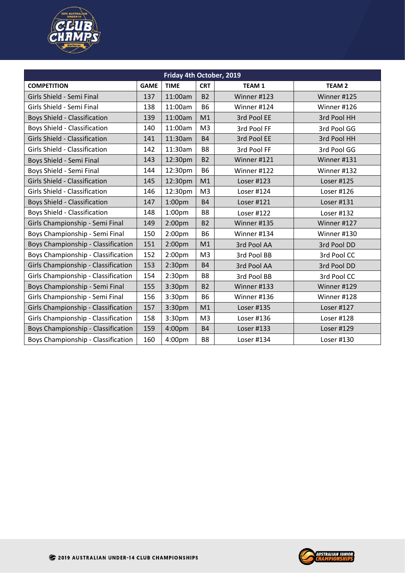

| Friday 4th October, 2019            |             |                    |                |              |               |  |  |  |  |
|-------------------------------------|-------------|--------------------|----------------|--------------|---------------|--|--|--|--|
| <b>COMPETITION</b>                  | <b>GAME</b> | <b>TIME</b>        | <b>CRT</b>     | <b>TEAM1</b> | <b>TEAM 2</b> |  |  |  |  |
| Girls Shield - Semi Final           | 137         | 11:00am            | <b>B2</b>      | Winner #123  | Winner #125   |  |  |  |  |
| Girls Shield - Semi Final           | 138         | 11:00am            | <b>B6</b>      | Winner #124  | Winner #126   |  |  |  |  |
| <b>Boys Shield - Classification</b> | 139         | 11:00am            | M1             | 3rd Pool EE  | 3rd Pool HH   |  |  |  |  |
| <b>Boys Shield - Classification</b> | 140         | 11:00am            | M <sub>3</sub> | 3rd Pool FF  | 3rd Pool GG   |  |  |  |  |
| Girls Shield - Classification       | 141         | 11:30am            | <b>B4</b>      | 3rd Pool EE  | 3rd Pool HH   |  |  |  |  |
| Girls Shield - Classification       | 142         | 11:30am            | B <sub>8</sub> | 3rd Pool FF  | 3rd Pool GG   |  |  |  |  |
| Boys Shield - Semi Final            | 143         | 12:30pm            | <b>B2</b>      | Winner #121  | Winner #131   |  |  |  |  |
| Boys Shield - Semi Final            | 144         | 12:30pm            | <b>B6</b>      | Winner #122  | Winner #132   |  |  |  |  |
| Girls Shield - Classification       | 145         | 12:30pm            | M1             | Loser #123   | Loser #125    |  |  |  |  |
| Girls Shield - Classification       | 146         | 12:30pm            | M <sub>3</sub> | Loser #124   | Loser #126    |  |  |  |  |
| <b>Boys Shield - Classification</b> | 147         | 1:00 <sub>pm</sub> | <b>B4</b>      | Loser #121   | Loser #131    |  |  |  |  |
| <b>Boys Shield - Classification</b> | 148         | 1:00 <sub>pm</sub> | B <sub>8</sub> | Loser #122   | Loser #132    |  |  |  |  |
| Girls Championship - Semi Final     | 149         | 2:00 <sub>pm</sub> | <b>B2</b>      | Winner #135  | Winner #127   |  |  |  |  |
| Boys Championship - Semi Final      | 150         | 2:00 <sub>pm</sub> | <b>B6</b>      | Winner #134  | Winner #130   |  |  |  |  |
| Boys Championship - Classification  | 151         | 2:00 <sub>pm</sub> | M1             | 3rd Pool AA  | 3rd Pool DD   |  |  |  |  |
| Boys Championship - Classification  | 152         | 2:00 <sub>pm</sub> | M <sub>3</sub> | 3rd Pool BB  | 3rd Pool CC   |  |  |  |  |
| Girls Championship - Classification | 153         | 2:30 <sub>pm</sub> | <b>B4</b>      | 3rd Pool AA  | 3rd Pool DD   |  |  |  |  |
| Girls Championship - Classification | 154         | 2:30 <sub>pm</sub> | B <sub>8</sub> | 3rd Pool BB  | 3rd Pool CC   |  |  |  |  |
| Boys Championship - Semi Final      | 155         | 3:30pm             | <b>B2</b>      | Winner #133  | Winner #129   |  |  |  |  |
| Girls Championship - Semi Final     | 156         | 3:30pm             | <b>B6</b>      | Winner #136  | Winner #128   |  |  |  |  |
| Girls Championship - Classification | 157         | 3:30pm             | M1             | Loser #135   | Loser #127    |  |  |  |  |
| Girls Championship - Classification | 158         | 3:30pm             | M <sub>3</sub> | Loser #136   | Loser #128    |  |  |  |  |
| Boys Championship - Classification  | 159         | 4:00pm             | <b>B4</b>      | Loser #133   | Loser #129    |  |  |  |  |
| Boys Championship - Classification  | 160         | 4:00pm             | B8             | Loser #134   | Loser #130    |  |  |  |  |